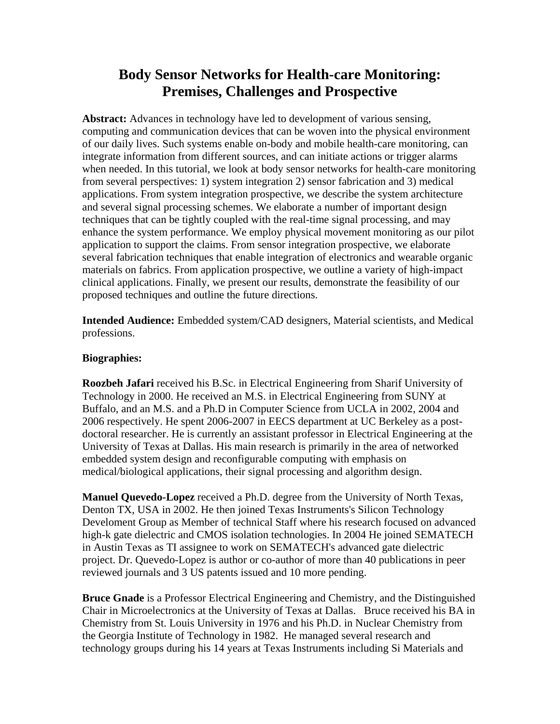## **Body Sensor Networks for Health-care Monitoring: Premises, Challenges and Prospective**

**Abstract:** Advances in technology have led to development of various sensing, computing and communication devices that can be woven into the physical environment of our daily lives. Such systems enable on-body and mobile health-care monitoring, can integrate information from different sources, and can initiate actions or trigger alarms when needed. In this tutorial, we look at body sensor networks for health-care monitoring from several perspectives: 1) system integration 2) sensor fabrication and 3) medical applications. From system integration prospective, we describe the system architecture and several signal processing schemes. We elaborate a number of important design techniques that can be tightly coupled with the real-time signal processing, and may enhance the system performance. We employ physical movement monitoring as our pilot application to support the claims. From sensor integration prospective, we elaborate several fabrication techniques that enable integration of electronics and wearable organic materials on fabrics. From application prospective, we outline a variety of high-impact clinical applications. Finally, we present our results, demonstrate the feasibility of our proposed techniques and outline the future directions.

**Intended Audience:** Embedded system/CAD designers, Material scientists, and Medical professions.

## **Biographies:**

**Roozbeh Jafari** received his B.Sc. in Electrical Engineering from Sharif University of Technology in 2000. He received an M.S. in Electrical Engineering from SUNY at Buffalo, and an M.S. and a Ph.D in Computer Science from UCLA in 2002, 2004 and 2006 respectively. He spent 2006-2007 in EECS department at UC Berkeley as a postdoctoral researcher. He is currently an assistant professor in Electrical Engineering at the University of Texas at Dallas. His main research is primarily in the area of networked embedded system design and reconfigurable computing with emphasis on medical/biological applications, their signal processing and algorithm design.

**Manuel Quevedo-Lopez** received a Ph.D. degree from the University of North Texas, Denton TX, USA in 2002. He then joined Texas Instruments's Silicon Technology Develoment Group as Member of technical Staff where his research focused on advanced high-k gate dielectric and CMOS isolation technologies. In 2004 He joined SEMATECH in Austin Texas as TI assignee to work on SEMATECH's advanced gate dielectric project. Dr. Quevedo-Lopez is author or co-author of more than 40 publications in peer reviewed journals and 3 US patents issued and 10 more pending.

**Bruce Gnade** is a Professor Electrical Engineering and Chemistry, and the Distinguished Chair in Microelectronics at the University of Texas at Dallas. Bruce received his BA in Chemistry from St. Louis University in 1976 and his Ph.D. in Nuclear Chemistry from the Georgia Institute of Technology in 1982. He managed several research and technology groups during his 14 years at Texas Instruments including Si Materials and